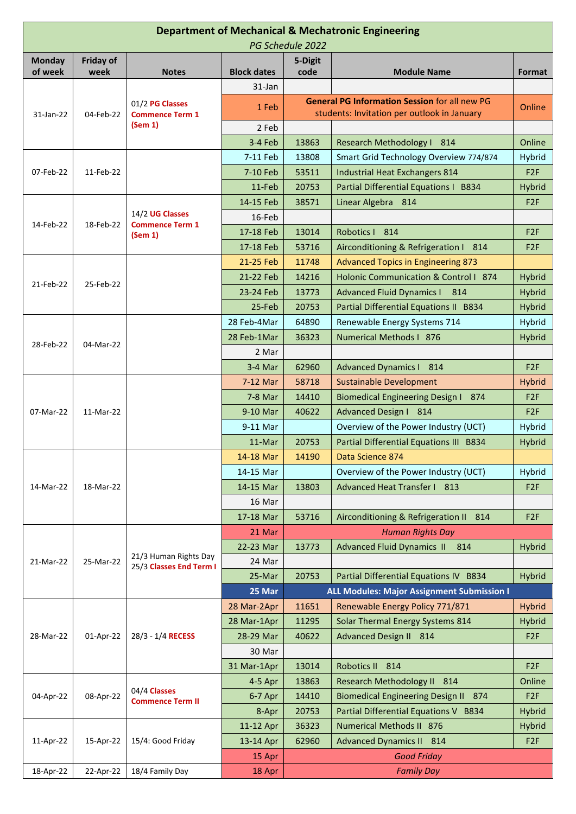| <b>Department of Mechanical &amp; Mechatronic Engineering</b><br>PG Schedule 2022 |           |                                                      |                    |                   |                                                                                                     |                 |  |  |  |  |
|-----------------------------------------------------------------------------------|-----------|------------------------------------------------------|--------------------|-------------------|-----------------------------------------------------------------------------------------------------|-----------------|--|--|--|--|
| <b>Monday</b>                                                                     | Friday of |                                                      |                    | 5-Digit           |                                                                                                     |                 |  |  |  |  |
| of week                                                                           | week      | <b>Notes</b>                                         | <b>Block dates</b> | code              | <b>Module Name</b>                                                                                  | Format          |  |  |  |  |
| 31-Jan-22                                                                         | 04-Feb-22 | 01/2 PG Classes<br><b>Commence Term 1</b><br>(Sem 1) | 31-Jan             |                   |                                                                                                     |                 |  |  |  |  |
|                                                                                   |           |                                                      | 1 Feb              |                   | <b>General PG Information Session for all new PG</b><br>students: Invitation per outlook in January | Online          |  |  |  |  |
|                                                                                   |           |                                                      | 2 Feb              |                   |                                                                                                     |                 |  |  |  |  |
|                                                                                   |           |                                                      | 3-4 Feb            | 13863             | Research Methodology   814                                                                          | Online          |  |  |  |  |
| 07-Feb-22                                                                         | 11-Feb-22 |                                                      | 7-11 Feb           | 13808             | Smart Grid Technology Overview 774/874                                                              | Hybrid          |  |  |  |  |
|                                                                                   |           |                                                      | 7-10 Feb           | 53511             | Industrial Heat Exchangers 814                                                                      | F <sub>2F</sub> |  |  |  |  |
|                                                                                   |           |                                                      | $11-Feb$           | 20753             | Partial Differential Equations I B834                                                               | <b>Hybrid</b>   |  |  |  |  |
|                                                                                   | 18-Feb-22 | 14/2 UG Classes<br><b>Commence Term 1</b><br>(Sem 1) | 14-15 Feb          | 38571             | Linear Algebra 814                                                                                  | F <sub>2F</sub> |  |  |  |  |
|                                                                                   |           |                                                      | 16-Feb             |                   |                                                                                                     |                 |  |  |  |  |
| 14-Feb-22                                                                         |           |                                                      | 17-18 Feb          | 13014             | Robotics   814                                                                                      | F <sub>2F</sub> |  |  |  |  |
|                                                                                   |           |                                                      | 17-18 Feb          | 53716             | Airconditioning & Refrigeration I 814                                                               | F <sub>2F</sub> |  |  |  |  |
|                                                                                   | 25-Feb-22 |                                                      | 21-25 Feb          | 11748             | <b>Advanced Topics in Engineering 873</b>                                                           |                 |  |  |  |  |
|                                                                                   |           |                                                      | 21-22 Feb          | 14216             | Holonic Communication & Control   874                                                               | <b>Hybrid</b>   |  |  |  |  |
| 21-Feb-22                                                                         |           |                                                      | 23-24 Feb          | 13773             | <b>Advanced Fluid Dynamics I 814</b>                                                                | <b>Hybrid</b>   |  |  |  |  |
|                                                                                   |           |                                                      | 25-Feb             | 20753             | Partial Differential Equations II B834                                                              | <b>Hybrid</b>   |  |  |  |  |
|                                                                                   | 04-Mar-22 |                                                      | 28 Feb-4Mar        | 64890             | Renewable Energy Systems 714                                                                        | Hybrid          |  |  |  |  |
|                                                                                   |           |                                                      | 28 Feb-1Mar        | 36323             | Numerical Methods I 876                                                                             | <b>Hybrid</b>   |  |  |  |  |
| 28-Feb-22                                                                         |           |                                                      | 2 Mar              |                   |                                                                                                     |                 |  |  |  |  |
|                                                                                   |           |                                                      | $3-4$ Mar          | 62960             | <b>Advanced Dynamics I 814</b>                                                                      | F <sub>2F</sub> |  |  |  |  |
|                                                                                   | 11-Mar-22 |                                                      | 7-12 Mar           | 58718             | <b>Sustainable Development</b>                                                                      | <b>Hybrid</b>   |  |  |  |  |
|                                                                                   |           |                                                      | $7-8$ Mar          | 14410             | Biomedical Engineering Design I 874                                                                 | F <sub>2F</sub> |  |  |  |  |
| 07-Mar-22                                                                         |           |                                                      | 9-10 Mar           | 40622             | <b>Advanced Design I 814</b>                                                                        | F <sub>2F</sub> |  |  |  |  |
|                                                                                   |           |                                                      | 9-11 Mar           |                   | Overview of the Power Industry (UCT)                                                                | Hybrid          |  |  |  |  |
|                                                                                   |           |                                                      | $11-Mar$           | 20753             | Partial Differential Equations III B834                                                             | Hybrid          |  |  |  |  |
|                                                                                   | 18-Mar-22 |                                                      | 14-18 Mar          | 14190             | Data Science 874                                                                                    |                 |  |  |  |  |
|                                                                                   |           |                                                      | 14-15 Mar          |                   | Overview of the Power Industry (UCT)                                                                | Hybrid          |  |  |  |  |
| 14-Mar-22                                                                         |           |                                                      | 14-15 Mar          | 13803             | Advanced Heat Transfer I 813                                                                        | F <sub>2F</sub> |  |  |  |  |
|                                                                                   |           |                                                      | 16 Mar             |                   |                                                                                                     |                 |  |  |  |  |
|                                                                                   |           |                                                      | 17-18 Mar          | 53716             | Airconditioning & Refrigeration II 814                                                              | F <sub>2F</sub> |  |  |  |  |
| 21-Mar-22                                                                         | 25-Mar-22 | 21/3 Human Rights Day<br>25/3 Classes End Term I     | 21 Mar             |                   | <b>Human Rights Day</b>                                                                             |                 |  |  |  |  |
|                                                                                   |           |                                                      | 22-23 Mar          | 13773             | <b>Advanced Fluid Dynamics II</b><br>814                                                            | Hybrid          |  |  |  |  |
|                                                                                   |           |                                                      | 24 Mar             |                   |                                                                                                     |                 |  |  |  |  |
|                                                                                   |           |                                                      | 25-Mar             | 20753             | Partial Differential Equations IV B834                                                              | <b>Hybrid</b>   |  |  |  |  |
|                                                                                   |           |                                                      | 25 Mar             |                   | <b>ALL Modules: Major Assignment Submission I</b>                                                   |                 |  |  |  |  |
| 28-Mar-22                                                                         | 01-Apr-22 | 28/3 - 1/4 RECESS                                    | 28 Mar-2Apr        | 11651             | Renewable Energy Policy 771/871                                                                     | <b>Hybrid</b>   |  |  |  |  |
|                                                                                   |           |                                                      | 28 Mar-1Apr        | 11295             | Solar Thermal Energy Systems 814                                                                    | <b>Hybrid</b>   |  |  |  |  |
|                                                                                   |           |                                                      | 28-29 Mar          | 40622             | Advanced Design II 814                                                                              | F <sub>2F</sub> |  |  |  |  |
|                                                                                   |           |                                                      | 30 Mar             |                   |                                                                                                     |                 |  |  |  |  |
|                                                                                   |           |                                                      | 31 Mar-1Apr        | 13014             | Robotics II 814                                                                                     | F <sub>2F</sub> |  |  |  |  |
| 04-Apr-22                                                                         | 08-Apr-22 | 04/4 Classes<br><b>Commence Term II</b>              | $4-5$ Apr          | 13863             | Research Methodology II 814                                                                         | Online          |  |  |  |  |
|                                                                                   |           |                                                      | 6-7 Apr            | 14410             | <b>Biomedical Engineering Design II 874</b>                                                         | F <sub>2F</sub> |  |  |  |  |
|                                                                                   |           |                                                      | 8-Apr              | 20753             | Partial Differential Equations V B834                                                               | <b>Hybrid</b>   |  |  |  |  |
| 11-Apr-22                                                                         | 15-Apr-22 | 15/4: Good Friday                                    | 11-12 Apr          | 36323             | Numerical Methods II 876                                                                            | Hybrid          |  |  |  |  |
|                                                                                   |           |                                                      | 13-14 Apr          | 62960             | <b>Advanced Dynamics II 814</b>                                                                     | F <sub>2F</sub> |  |  |  |  |
|                                                                                   |           |                                                      | 15 Apr             |                   | <b>Good Friday</b>                                                                                  |                 |  |  |  |  |
| 18-Apr-22                                                                         | 22-Apr-22 | 18/4 Family Day                                      | 18 Apr             | <b>Family Day</b> |                                                                                                     |                 |  |  |  |  |